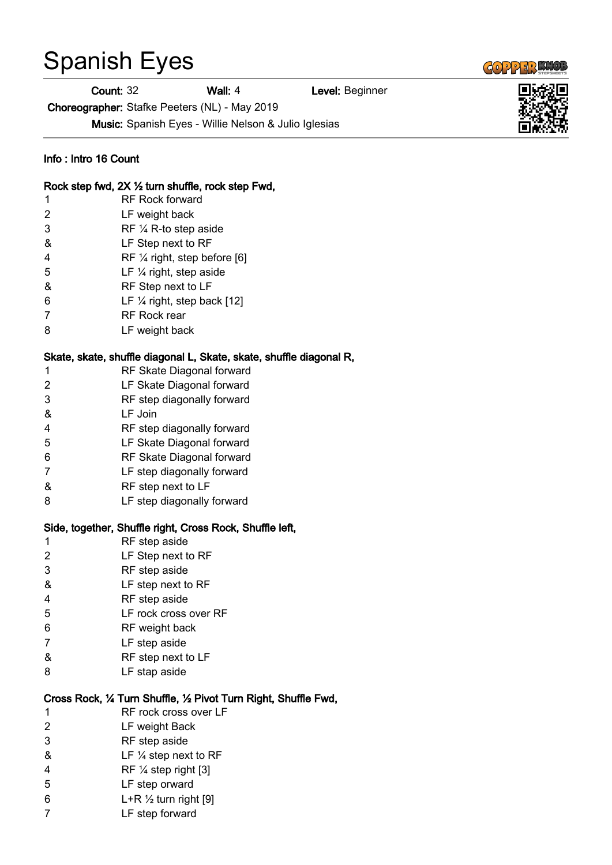## Spanish Eyes

Count: 32 Wall: 4 Level: Beginner

Choreographer: Stafke Peeters (NL) - May 2019

 $\left($   $\left($ 0 2243  $\right)$ 



- & LF ¼ step next to RF
- RF ¼ step right [3]
- LF step orward
- 6  $L+R \frac{1}{2}$  turn right [9]
- LF step forward